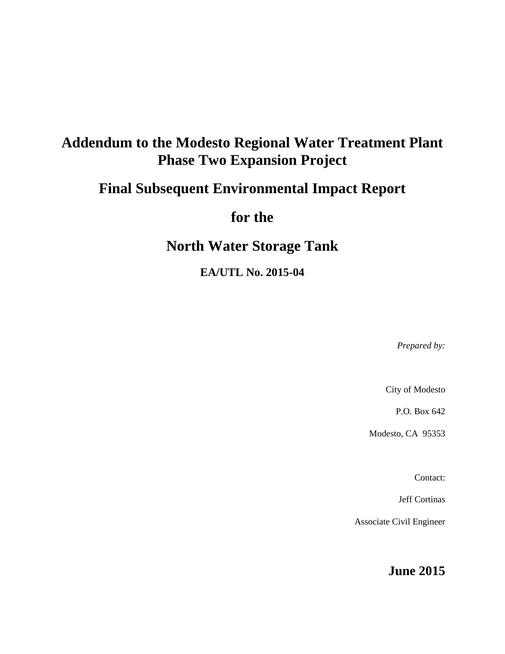# **Addendum to the Modesto Regional Water Treatment Plant Phase Two Expansion Project**

# **Final Subsequent Environmental Impact Report**

**for the**

# **North Water Storage Tank**

**EA/UTL No. 2015-04**

*Prepared by:*

City of Modesto

P.O. Box 642

Modesto, CA 95353

Contact:

Jeff Cortinas

Associate Civil Engineer

**June 2015**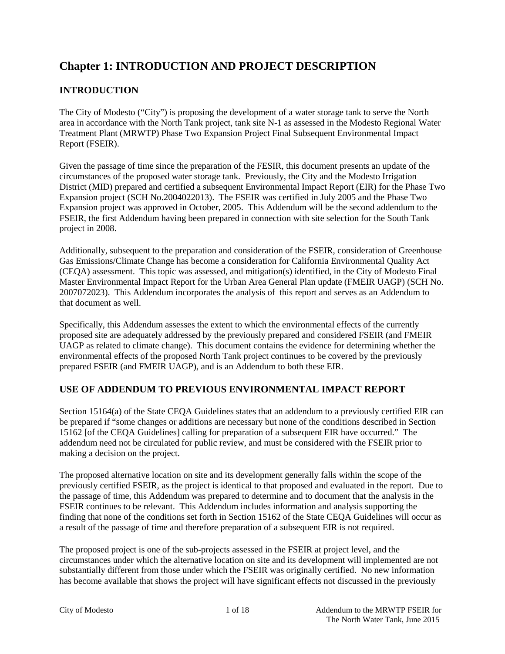## **Chapter 1: INTRODUCTION AND PROJECT DESCRIPTION**

## **INTRODUCTION**

The City of Modesto ("City") is proposing the development of a water storage tank to serve the North area in accordance with the North Tank project, tank site N-1 as assessed in the Modesto Regional Water Treatment Plant (MRWTP) Phase Two Expansion Project Final Subsequent Environmental Impact Report (FSEIR).

Given the passage of time since the preparation of the FESIR, this document presents an update of the circumstances of the proposed water storage tank. Previously, the City and the Modesto Irrigation District (MID) prepared and certified a subsequent Environmental Impact Report (EIR) for the Phase Two Expansion project (SCH No.2004022013). The FSEIR was certified in July 2005 and the Phase Two Expansion project was approved in October, 2005. This Addendum will be the second addendum to the FSEIR, the first Addendum having been prepared in connection with site selection for the South Tank project in 2008.

Additionally, subsequent to the preparation and consideration of the FSEIR, consideration of Greenhouse Gas Emissions/Climate Change has become a consideration for California Environmental Quality Act (CEQA) assessment. This topic was assessed, and mitigation(s) identified, in the City of Modesto Final Master Environmental Impact Report for the Urban Area General Plan update (FMEIR UAGP) (SCH No. 2007072023). This Addendum incorporates the analysis of this report and serves as an Addendum to that document as well.

Specifically, this Addendum assesses the extent to which the environmental effects of the currently proposed site are adequately addressed by the previously prepared and considered FSEIR (and FMEIR UAGP as related to climate change). This document contains the evidence for determining whether the environmental effects of the proposed North Tank project continues to be covered by the previously prepared FSEIR (and FMEIR UAGP), and is an Addendum to both these EIR.

## **USE OF ADDENDUM TO PREVIOUS ENVIRONMENTAL IMPACT REPORT**

Section 15164(a) of the State CEQA Guidelines states that an addendum to a previously certified EIR can be prepared if "some changes or additions are necessary but none of the conditions described in Section 15162 [of the CEQA Guidelines] calling for preparation of a subsequent EIR have occurred." The addendum need not be circulated for public review, and must be considered with the FSEIR prior to making a decision on the project.

The proposed alternative location on site and its development generally falls within the scope of the previously certified FSEIR, as the project is identical to that proposed and evaluated in the report. Due to the passage of time, this Addendum was prepared to determine and to document that the analysis in the FSEIR continues to be relevant. This Addendum includes information and analysis supporting the finding that none of the conditions set forth in Section 15162 of the State CEQA Guidelines will occur as a result of the passage of time and therefore preparation of a subsequent EIR is not required.

The proposed project is one of the sub-projects assessed in the FSEIR at project level, and the circumstances under which the alternative location on site and its development will implemented are not substantially different from those under which the FSEIR was originally certified. No new information has become available that shows the project will have significant effects not discussed in the previously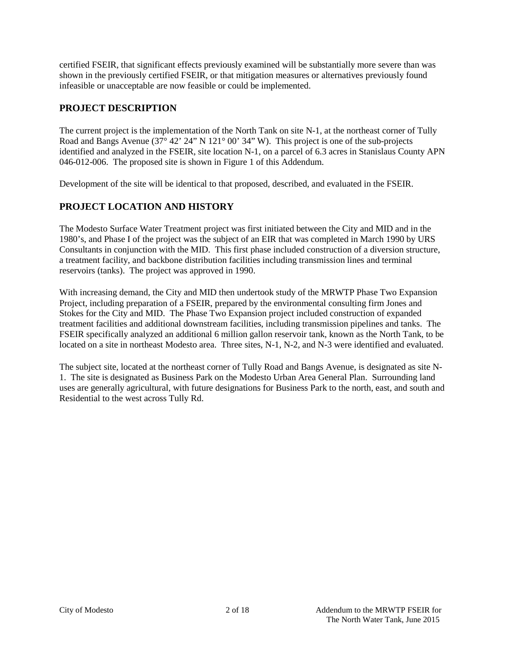certified FSEIR, that significant effects previously examined will be substantially more severe than was shown in the previously certified FSEIR, or that mitigation measures or alternatives previously found infeasible or unacceptable are now feasible or could be implemented.

### **PROJECT DESCRIPTION**

The current project is the implementation of the North Tank on site N-1, at the northeast corner of Tully Road and Bangs Avenue (37° 42' 24" N 121° 00' 34" W). This project is one of the sub-projects identified and analyzed in the FSEIR, site location N-1, on a parcel of 6.3 acres in Stanislaus County APN 046-012-006. The proposed site is shown in Figure 1 of this Addendum.

Development of the site will be identical to that proposed, described, and evaluated in the FSEIR.

## **PROJECT LOCATION AND HISTORY**

The Modesto Surface Water Treatment project was first initiated between the City and MID and in the 1980's, and Phase I of the project was the subject of an EIR that was completed in March 1990 by URS Consultants in conjunction with the MID. This first phase included construction of a diversion structure, a treatment facility, and backbone distribution facilities including transmission lines and terminal reservoirs (tanks). The project was approved in 1990.

With increasing demand, the City and MID then undertook study of the MRWTP Phase Two Expansion Project, including preparation of a FSEIR, prepared by the environmental consulting firm Jones and Stokes for the City and MID. The Phase Two Expansion project included construction of expanded treatment facilities and additional downstream facilities, including transmission pipelines and tanks. The FSEIR specifically analyzed an additional 6 million gallon reservoir tank, known as the North Tank, to be located on a site in northeast Modesto area. Three sites, N-1, N-2, and N-3 were identified and evaluated.

The subject site, located at the northeast corner of Tully Road and Bangs Avenue, is designated as site N-1. The site is designated as Business Park on the Modesto Urban Area General Plan. Surrounding land uses are generally agricultural, with future designations for Business Park to the north, east, and south and Residential to the west across Tully Rd.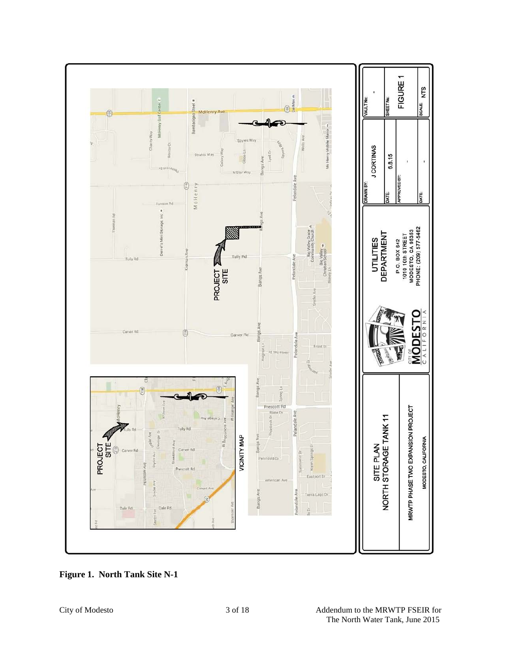

**Figure 1. North Tank Site N-1**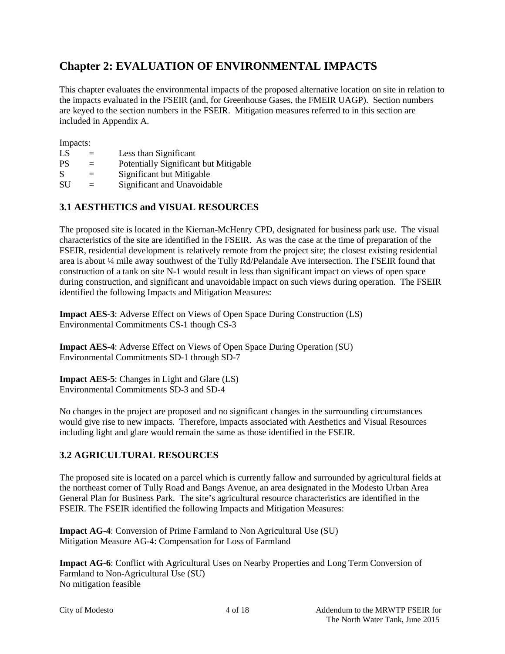## **Chapter 2: EVALUATION OF ENVIRONMENTAL IMPACTS**

This chapter evaluates the environmental impacts of the proposed alternative location on site in relation to the impacts evaluated in the FSEIR (and, for Greenhouse Gases, the FMEIR UAGP). Section numbers are keyed to the section numbers in the FSEIR. Mitigation measures referred to in this section are included in Appendix A.

Impacts:

| LS |  |  | Less than Significant |  |
|----|--|--|-----------------------|--|
|    |  |  |                       |  |

- PS = Potentially Significant but Mitigable
- $S =$  Significant but Mitigable
- SU = Significant and Unavoidable

## **3.1 AESTHETICS and VISUAL RESOURCES**

The proposed site is located in the Kiernan-McHenry CPD, designated for business park use. The visual characteristics of the site are identified in the FSEIR. As was the case at the time of preparation of the FSEIR, residential development is relatively remote from the project site; the closest existing residential area is about ¼ mile away southwest of the Tully Rd/Pelandale Ave intersection. The FSEIR found that construction of a tank on site N-1 would result in less than significant impact on views of open space during construction, and significant and unavoidable impact on such views during operation. The FSEIR identified the following Impacts and Mitigation Measures:

**Impact AES-3**: Adverse Effect on Views of Open Space During Construction (LS) Environmental Commitments CS-1 though CS-3

**Impact AES-4**: Adverse Effect on Views of Open Space During Operation (SU) Environmental Commitments SD-1 through SD-7

**Impact AES-5**: Changes in Light and Glare (LS) Environmental Commitments SD-3 and SD-4

No changes in the project are proposed and no significant changes in the surrounding circumstances would give rise to new impacts. Therefore, impacts associated with Aesthetics and Visual Resources including light and glare would remain the same as those identified in the FSEIR.

### **3.2 AGRICULTURAL RESOURCES**

The proposed site is located on a parcel which is currently fallow and surrounded by agricultural fields at the northeast corner of Tully Road and Bangs Avenue, an area designated in the Modesto Urban Area General Plan for Business Park. The site's agricultural resource characteristics are identified in the FSEIR. The FSEIR identified the following Impacts and Mitigation Measures:

**Impact AG-4**: Conversion of Prime Farmland to Non Agricultural Use (SU) Mitigation Measure AG-4: Compensation for Loss of Farmland

**Impact AG-6**: Conflict with Agricultural Uses on Nearby Properties and Long Term Conversion of Farmland to Non-Agricultural Use (SU) No mitigation feasible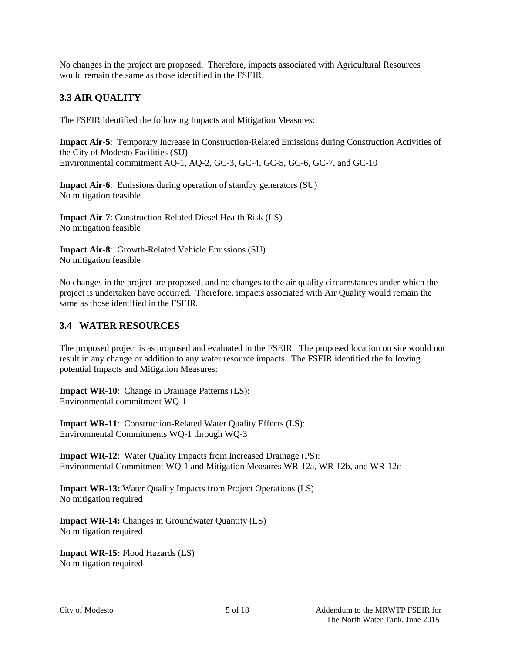No changes in the project are proposed. Therefore, impacts associated with Agricultural Resources would remain the same as those identified in the FSEIR.

## **3.3 AIR QUALITY**

The FSEIR identified the following Impacts and Mitigation Measures:

**Impact Air-5**: Temporary Increase in Construction-Related Emissions during Construction Activities of the City of Modesto Facilities (SU) Environmental commitment AQ-1, AQ-2, GC-3, GC-4, GC-5, GC-6, GC-7, and GC-10

**Impact Air-6**: Emissions during operation of standby generators (SU) No mitigation feasible

**Impact Air-7**: Construction-Related Diesel Health Risk (LS) No mitigation feasible

**Impact Air-8**: Growth-Related Vehicle Emissions (SU) No mitigation feasible

No changes in the project are proposed, and no changes to the air quality circumstances under which the project is undertaken have occurred. Therefore, impacts associated with Air Quality would remain the same as those identified in the FSEIR.

#### **3.4 WATER RESOURCES**

The proposed project is as proposed and evaluated in the FSEIR. The proposed location on site would not result in any change or addition to any water resource impacts. The FSEIR identified the following potential Impacts and Mitigation Measures:

**Impact WR-10**: Change in Drainage Patterns (LS): Environmental commitment WQ-1

**Impact WR-11**: Construction-Related Water Quality Effects (LS): Environmental Commitments WQ-1 through WQ-3

**Impact WR-12**: Water Quality Impacts from Increased Drainage (PS): Environmental Commitment WQ-1 and Mitigation Measures WR-12a, WR-12b, and WR-12c

**Impact WR-13:** Water Quality Impacts from Project Operations (LS) No mitigation required

**Impact WR-14:** Changes in Groundwater Quantity (LS) No mitigation required

**Impact WR-15:** Flood Hazards (LS) No mitigation required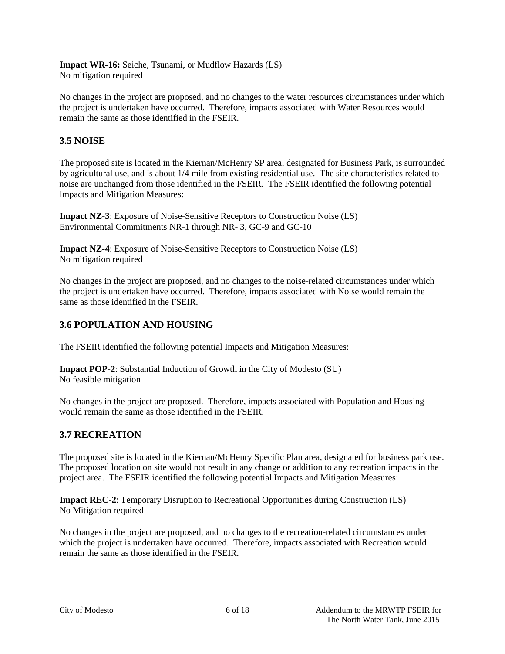**Impact WR-16:** Seiche, Tsunami, or Mudflow Hazards (LS) No mitigation required

No changes in the project are proposed, and no changes to the water resources circumstances under which the project is undertaken have occurred. Therefore, impacts associated with Water Resources would remain the same as those identified in the FSEIR.

### **3.5 NOISE**

The proposed site is located in the Kiernan/McHenry SP area, designated for Business Park, is surrounded by agricultural use, and is about 1/4 mile from existing residential use. The site characteristics related to noise are unchanged from those identified in the FSEIR. The FSEIR identified the following potential Impacts and Mitigation Measures:

**Impact NZ-3**: Exposure of Noise-Sensitive Receptors to Construction Noise (LS) Environmental Commitments NR-1 through NR- 3, GC-9 and GC-10

**Impact NZ-4**: Exposure of Noise-Sensitive Receptors to Construction Noise (LS) No mitigation required

No changes in the project are proposed, and no changes to the noise-related circumstances under which the project is undertaken have occurred. Therefore, impacts associated with Noise would remain the same as those identified in the FSEIR.

### **3.6 POPULATION AND HOUSING**

The FSEIR identified the following potential Impacts and Mitigation Measures:

**Impact POP-2**: Substantial Induction of Growth in the City of Modesto (SU) No feasible mitigation

No changes in the project are proposed. Therefore, impacts associated with Population and Housing would remain the same as those identified in the FSEIR.

### **3.7 RECREATION**

The proposed site is located in the Kiernan/McHenry Specific Plan area, designated for business park use. The proposed location on site would not result in any change or addition to any recreation impacts in the project area. The FSEIR identified the following potential Impacts and Mitigation Measures:

**Impact REC-2**: Temporary Disruption to Recreational Opportunities during Construction (LS) No Mitigation required

No changes in the project are proposed, and no changes to the recreation-related circumstances under which the project is undertaken have occurred. Therefore, impacts associated with Recreation would remain the same as those identified in the FSEIR.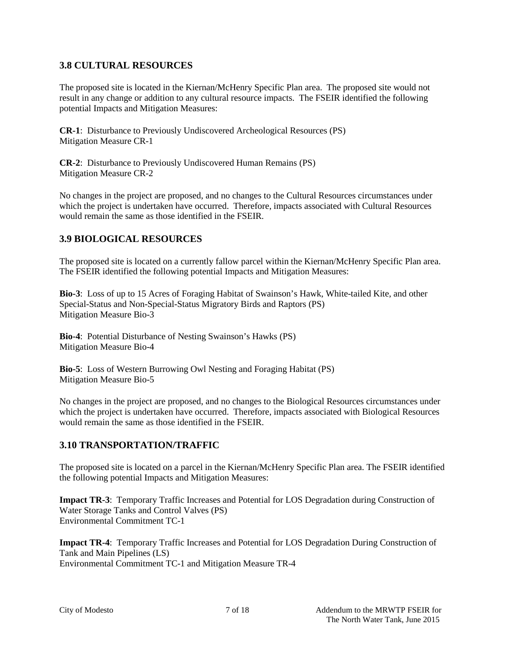### **3.8 CULTURAL RESOURCES**

The proposed site is located in the Kiernan/McHenry Specific Plan area. The proposed site would not result in any change or addition to any cultural resource impacts. The FSEIR identified the following potential Impacts and Mitigation Measures:

**CR-1**: Disturbance to Previously Undiscovered Archeological Resources (PS) Mitigation Measure CR-1

**CR-2**: Disturbance to Previously Undiscovered Human Remains (PS) Mitigation Measure CR-2

No changes in the project are proposed, and no changes to the Cultural Resources circumstances under which the project is undertaken have occurred. Therefore, impacts associated with Cultural Resources would remain the same as those identified in the FSEIR.

### **3.9 BIOLOGICAL RESOURCES**

The proposed site is located on a currently fallow parcel within the Kiernan/McHenry Specific Plan area. The FSEIR identified the following potential Impacts and Mitigation Measures:

**Bio-3**: Loss of up to 15 Acres of Foraging Habitat of Swainson's Hawk, White-tailed Kite, and other Special-Status and Non-Special-Status Migratory Birds and Raptors (PS) Mitigation Measure Bio-3

**Bio-4**: Potential Disturbance of Nesting Swainson's Hawks (PS) Mitigation Measure Bio-4

**Bio-5**: Loss of Western Burrowing Owl Nesting and Foraging Habitat (PS) Mitigation Measure Bio-5

No changes in the project are proposed, and no changes to the Biological Resources circumstances under which the project is undertaken have occurred. Therefore, impacts associated with Biological Resources would remain the same as those identified in the FSEIR.

### **3.10 TRANSPORTATION/TRAFFIC**

The proposed site is located on a parcel in the Kiernan/McHenry Specific Plan area. The FSEIR identified the following potential Impacts and Mitigation Measures:

**Impact TR-3**: Temporary Traffic Increases and Potential for LOS Degradation during Construction of Water Storage Tanks and Control Valves (PS) Environmental Commitment TC-1

**Impact TR-4**: Temporary Traffic Increases and Potential for LOS Degradation During Construction of Tank and Main Pipelines (LS) Environmental Commitment TC-1 and Mitigation Measure TR-4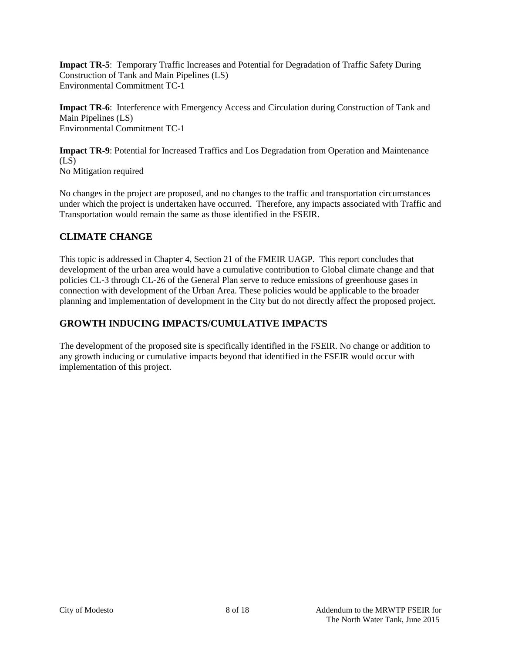**Impact TR-5**: Temporary Traffic Increases and Potential for Degradation of Traffic Safety During Construction of Tank and Main Pipelines (LS) Environmental Commitment TC-1

**Impact TR-6**: Interference with Emergency Access and Circulation during Construction of Tank and Main Pipelines (LS) Environmental Commitment TC-1

**Impact TR-9**: Potential for Increased Traffics and Los Degradation from Operation and Maintenance  $(LS)$ No Mitigation required

No changes in the project are proposed, and no changes to the traffic and transportation circumstances under which the project is undertaken have occurred. Therefore, any impacts associated with Traffic and Transportation would remain the same as those identified in the FSEIR.

## **CLIMATE CHANGE**

This topic is addressed in Chapter 4, Section 21 of the FMEIR UAGP. This report concludes that development of the urban area would have a cumulative contribution to Global climate change and that policies CL-3 through CL-26 of the General Plan serve to reduce emissions of greenhouse gases in connection with development of the Urban Area. These policies would be applicable to the broader planning and implementation of development in the City but do not directly affect the proposed project.

## **GROWTH INDUCING IMPACTS/CUMULATIVE IMPACTS**

The development of the proposed site is specifically identified in the FSEIR. No change or addition to any growth inducing or cumulative impacts beyond that identified in the FSEIR would occur with implementation of this project.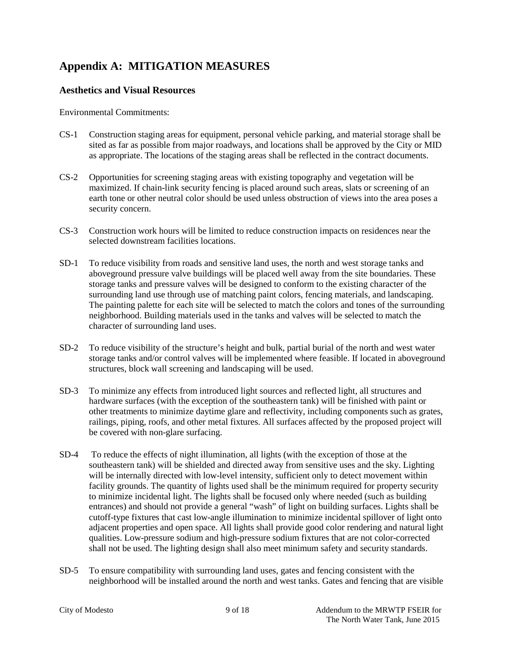# **Appendix A: MITIGATION MEASURES**

#### **Aesthetics and Visual Resources**

Environmental Commitments:

- CS-1 Construction staging areas for equipment, personal vehicle parking, and material storage shall be sited as far as possible from major roadways, and locations shall be approved by the City or MID as appropriate. The locations of the staging areas shall be reflected in the contract documents.
- CS-2 Opportunities for screening staging areas with existing topography and vegetation will be maximized. If chain-link security fencing is placed around such areas, slats or screening of an earth tone or other neutral color should be used unless obstruction of views into the area poses a security concern.
- CS-3 Construction work hours will be limited to reduce construction impacts on residences near the selected downstream facilities locations.
- SD-1 To reduce visibility from roads and sensitive land uses, the north and west storage tanks and aboveground pressure valve buildings will be placed well away from the site boundaries. These storage tanks and pressure valves will be designed to conform to the existing character of the surrounding land use through use of matching paint colors, fencing materials, and landscaping. The painting palette for each site will be selected to match the colors and tones of the surrounding neighborhood. Building materials used in the tanks and valves will be selected to match the character of surrounding land uses.
- SD-2 To reduce visibility of the structure's height and bulk, partial burial of the north and west water storage tanks and/or control valves will be implemented where feasible. If located in aboveground structures, block wall screening and landscaping will be used.
- SD-3 To minimize any effects from introduced light sources and reflected light, all structures and hardware surfaces (with the exception of the southeastern tank) will be finished with paint or other treatments to minimize daytime glare and reflectivity, including components such as grates, railings, piping, roofs, and other metal fixtures. All surfaces affected by the proposed project will be covered with non-glare surfacing.
- SD-4 To reduce the effects of night illumination, all lights (with the exception of those at the southeastern tank) will be shielded and directed away from sensitive uses and the sky. Lighting will be internally directed with low-level intensity, sufficient only to detect movement within facility grounds. The quantity of lights used shall be the minimum required for property security to minimize incidental light. The lights shall be focused only where needed (such as building entrances) and should not provide a general "wash" of light on building surfaces. Lights shall be cutoff-type fixtures that cast low-angle illumination to minimize incidental spillover of light onto adjacent properties and open space. All lights shall provide good color rendering and natural light qualities. Low-pressure sodium and high-pressure sodium fixtures that are not color-corrected shall not be used. The lighting design shall also meet minimum safety and security standards.
- SD-5 To ensure compatibility with surrounding land uses, gates and fencing consistent with the neighborhood will be installed around the north and west tanks. Gates and fencing that are visible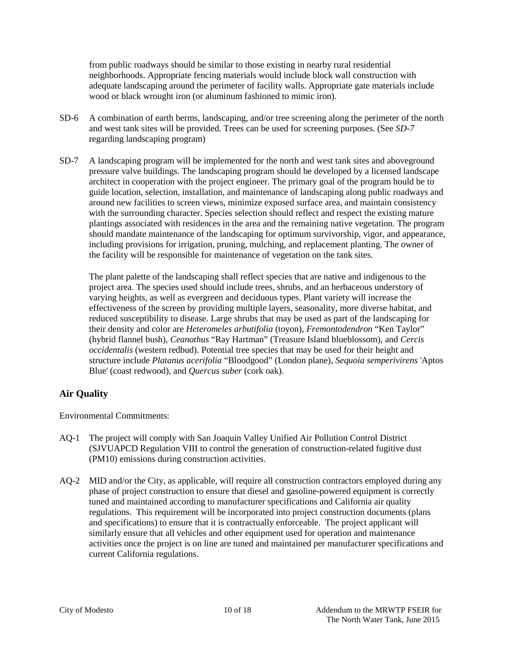from public roadways should be similar to those existing in nearby rural residential neighborhoods. Appropriate fencing materials would include block wall construction with adequate landscaping around the perimeter of facility walls. Appropriate gate materials include wood or black wrought iron (or aluminum fashioned to mimic iron).

- SD-6 A combination of earth berms, landscaping, and/or tree screening along the perimeter of the north and west tank sites will be provided. Trees can be used for screening purposes. (See *SD-7*  regarding landscaping program)
- SD-7 A landscaping program will be implemented for the north and west tank sites and aboveground pressure valve buildings. The landscaping program should be developed by a licensed landscape architect in cooperation with the project engineer. The primary goal of the program hould be to guide location, selection, installation, and maintenance of landscaping along public roadways and around new facilities to screen views, minimize exposed surface area, and maintain consistency with the surrounding character. Species selection should reflect and respect the existing mature plantings associated with residences in the area and the remaining native vegetation. The program should mandate maintenance of the landscaping for optimum survivorship, vigor, and appearance, including provisions for irrigation, pruning, mulching, and replacement planting. The owner of the facility will be responsible for maintenance of vegetation on the tank sites.

The plant palette of the landscaping shall reflect species that are native and indigenous to the project area. The species used should include trees, shrubs, and an herbaceous understory of varying heights, as well as evergreen and deciduous types. Plant variety will increase the effectiveness of the screen by providing multiple layers, seasonality, more diverse habitat, and reduced susceptibility to disease. Large shrubs that may be used as part of the landscaping for their density and color are *Heteromeles arbutifolia* (toyon), *Fremontodendron* "Ken Taylor" (hybrid flannel bush), *Ceanothus* "Ray Hartman" (Treasure Island blueblossom), and *Cercis occidentalis* (western redbud). Potential tree species that may be used for their height and structure include *Platanus acerifolia* "Bloodgood" (London plane), *Sequoia semperivirens* 'Aptos Blue' (coast redwood), and *Quercus suber* (cork oak).

### **Air Quality**

Environmental Commitments:

- AQ-1 The project will comply with San Joaquin Valley Unified Air Pollution Control District (SJVUAPCD Regulation VIII to control the generation of construction-related fugitive dust (PM10) emissions during construction activities.
- AQ-2 MID and/or the City, as applicable, will require all construction contractors employed during any phase of project construction to ensure that diesel and gasoline-powered equipment is correctly tuned and maintained according to manufacturer specifications and California air quality regulations. This requirement will be incorporated into project construction documents (plans and specifications) to ensure that it is contractually enforceable. The project applicant will similarly ensure that all vehicles and other equipment used for operation and maintenance activities once the project is on line are tuned and maintained per manufacturer specifications and current California regulations.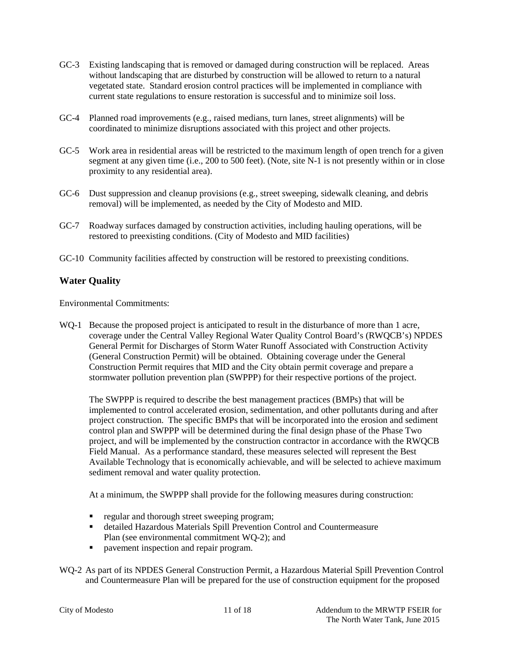- GC-3 Existing landscaping that is removed or damaged during construction will be replaced. Areas without landscaping that are disturbed by construction will be allowed to return to a natural vegetated state. Standard erosion control practices will be implemented in compliance with current state regulations to ensure restoration is successful and to minimize soil loss.
- GC-4 Planned road improvements (e.g., raised medians, turn lanes, street alignments) will be coordinated to minimize disruptions associated with this project and other projects.
- GC-5 Work area in residential areas will be restricted to the maximum length of open trench for a given segment at any given time (i.e., 200 to 500 feet). (Note, site N-1 is not presently within or in close proximity to any residential area).
- GC-6 Dust suppression and cleanup provisions (e.g., street sweeping, sidewalk cleaning, and debris removal) will be implemented, as needed by the City of Modesto and MID.
- GC-7 Roadway surfaces damaged by construction activities, including hauling operations, will be restored to preexisting conditions. (City of Modesto and MID facilities)
- GC-10 Community facilities affected by construction will be restored to preexisting conditions.

#### **Water Quality**

Environmental Commitments:

WQ-1 Because the proposed project is anticipated to result in the disturbance of more than 1 acre, coverage under the Central Valley Regional Water Quality Control Board's (RWQCB's) NPDES General Permit for Discharges of Storm Water Runoff Associated with Construction Activity (General Construction Permit) will be obtained. Obtaining coverage under the General Construction Permit requires that MID and the City obtain permit coverage and prepare a stormwater pollution prevention plan (SWPPP) for their respective portions of the project.

The SWPPP is required to describe the best management practices (BMPs) that will be implemented to control accelerated erosion, sedimentation, and other pollutants during and after project construction. The specific BMPs that will be incorporated into the erosion and sediment control plan and SWPPP will be determined during the final design phase of the Phase Two project, and will be implemented by the construction contractor in accordance with the RWQCB Field Manual. As a performance standard, these measures selected will represent the Best Available Technology that is economically achievable, and will be selected to achieve maximum sediment removal and water quality protection.

At a minimum, the SWPPP shall provide for the following measures during construction:

- regular and thorough street sweeping program;
- detailed Hazardous Materials Spill Prevention Control and Countermeasure Plan (see environmental commitment WQ-2); and
- **•** pavement inspection and repair program.

WQ-2 As part of its NPDES General Construction Permit, a Hazardous Material Spill Prevention Control and Countermeasure Plan will be prepared for the use of construction equipment for the proposed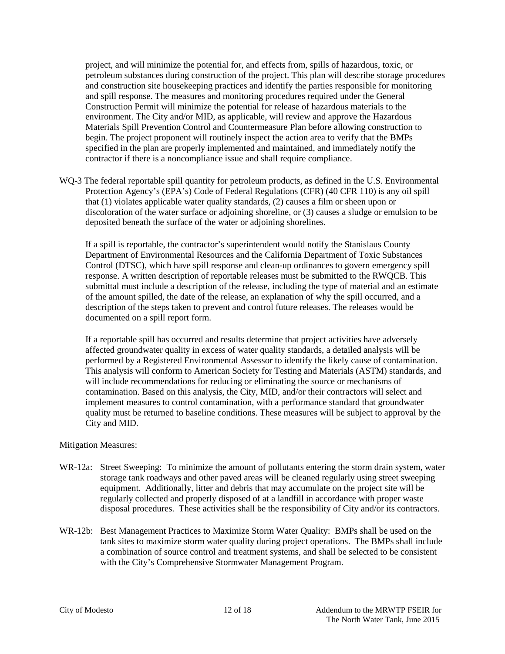project, and will minimize the potential for, and effects from, spills of hazardous, toxic, or petroleum substances during construction of the project. This plan will describe storage procedures and construction site housekeeping practices and identify the parties responsible for monitoring and spill response. The measures and monitoring procedures required under the General Construction Permit will minimize the potential for release of hazardous materials to the environment. The City and/or MID, as applicable, will review and approve the Hazardous Materials Spill Prevention Control and Countermeasure Plan before allowing construction to begin. The project proponent will routinely inspect the action area to verify that the BMPs specified in the plan are properly implemented and maintained, and immediately notify the contractor if there is a noncompliance issue and shall require compliance.

WQ-3 The federal reportable spill quantity for petroleum products, as defined in the U.S. Environmental Protection Agency's (EPA's) Code of Federal Regulations (CFR) (40 CFR 110) is any oil spill that (1) violates applicable water quality standards, (2) causes a film or sheen upon or discoloration of the water surface or adjoining shoreline, or (3) causes a sludge or emulsion to be deposited beneath the surface of the water or adjoining shorelines.

If a spill is reportable, the contractor's superintendent would notify the Stanislaus County Department of Environmental Resources and the California Department of Toxic Substances Control (DTSC), which have spill response and clean-up ordinances to govern emergency spill response. A written description of reportable releases must be submitted to the RWQCB. This submittal must include a description of the release, including the type of material and an estimate of the amount spilled, the date of the release, an explanation of why the spill occurred, and a description of the steps taken to prevent and control future releases. The releases would be documented on a spill report form.

If a reportable spill has occurred and results determine that project activities have adversely affected groundwater quality in excess of water quality standards, a detailed analysis will be performed by a Registered Environmental Assessor to identify the likely cause of contamination. This analysis will conform to American Society for Testing and Materials (ASTM) standards, and will include recommendations for reducing or eliminating the source or mechanisms of contamination. Based on this analysis, the City, MID, and/or their contractors will select and implement measures to control contamination, with a performance standard that groundwater quality must be returned to baseline conditions. These measures will be subject to approval by the City and MID.

#### Mitigation Measures:

- WR-12a: Street Sweeping: To minimize the amount of pollutants entering the storm drain system, water storage tank roadways and other paved areas will be cleaned regularly using street sweeping equipment. Additionally, litter and debris that may accumulate on the project site will be regularly collected and properly disposed of at a landfill in accordance with proper waste disposal procedures. These activities shall be the responsibility of City and/or its contractors.
- WR-12b: Best Management Practices to Maximize Storm Water Quality: BMPs shall be used on the tank sites to maximize storm water quality during project operations. The BMPs shall include a combination of source control and treatment systems, and shall be selected to be consistent with the City's Comprehensive Stormwater Management Program.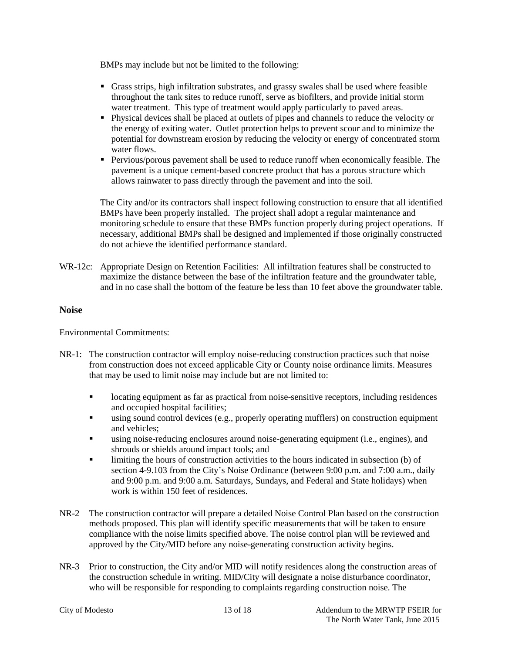BMPs may include but not be limited to the following:

- Grass strips, high infiltration substrates, and grassy swales shall be used where feasible throughout the tank sites to reduce runoff, serve as biofilters, and provide initial storm water treatment. This type of treatment would apply particularly to paved areas.
- Physical devices shall be placed at outlets of pipes and channels to reduce the velocity or the energy of exiting water. Outlet protection helps to prevent scour and to minimize the potential for downstream erosion by reducing the velocity or energy of concentrated storm water flows.
- Pervious/porous pavement shall be used to reduce runoff when economically feasible. The pavement is a unique cement-based concrete product that has a porous structure which allows rainwater to pass directly through the pavement and into the soil.

The City and/or its contractors shall inspect following construction to ensure that all identified BMPs have been properly installed. The project shall adopt a regular maintenance and monitoring schedule to ensure that these BMPs function properly during project operations. If necessary, additional BMPs shall be designed and implemented if those originally constructed do not achieve the identified performance standard.

WR-12c: Appropriate Design on Retention Facilities: All infiltration features shall be constructed to maximize the distance between the base of the infiltration feature and the groundwater table, and in no case shall the bottom of the feature be less than 10 feet above the groundwater table.

#### **Noise**

Environmental Commitments:

- NR-1: The construction contractor will employ noise-reducing construction practices such that noise from construction does not exceed applicable City or County noise ordinance limits. Measures that may be used to limit noise may include but are not limited to:
	- locating equipment as far as practical from noise-sensitive receptors, including residences and occupied hospital facilities;
	- using sound control devices (e.g., properly operating mufflers) on construction equipment and vehicles;
	- using noise-reducing enclosures around noise-generating equipment (i.e., engines), and shrouds or shields around impact tools; and
	- limiting the hours of construction activities to the hours indicated in subsection (b) of section 4-9.103 from the City's Noise Ordinance (between 9:00 p.m. and 7:00 a.m., daily and 9:00 p.m. and 9:00 a.m. Saturdays, Sundays, and Federal and State holidays) when work is within 150 feet of residences.
- NR-2 The construction contractor will prepare a detailed Noise Control Plan based on the construction methods proposed. This plan will identify specific measurements that will be taken to ensure compliance with the noise limits specified above. The noise control plan will be reviewed and approved by the City/MID before any noise-generating construction activity begins.
- NR-3 Prior to construction, the City and/or MID will notify residences along the construction areas of the construction schedule in writing. MID/City will designate a noise disturbance coordinator, who will be responsible for responding to complaints regarding construction noise. The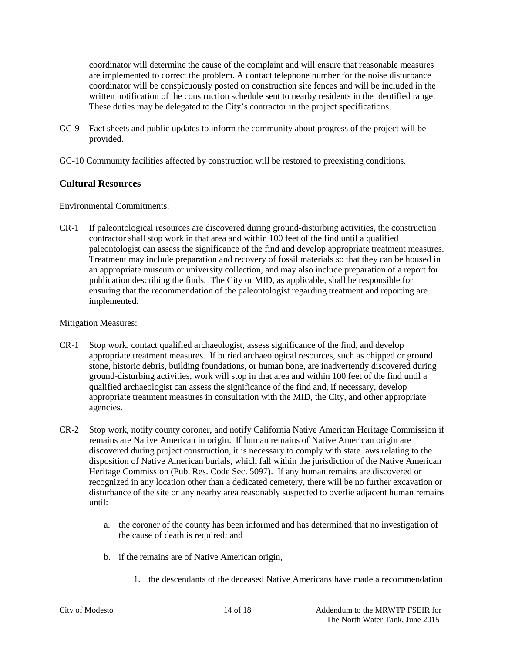coordinator will determine the cause of the complaint and will ensure that reasonable measures are implemented to correct the problem. A contact telephone number for the noise disturbance coordinator will be conspicuously posted on construction site fences and will be included in the written notification of the construction schedule sent to nearby residents in the identified range. These duties may be delegated to the City's contractor in the project specifications.

- GC-9 Fact sheets and public updates to inform the community about progress of the project will be provided.
- GC-10 Community facilities affected by construction will be restored to preexisting conditions.

#### **Cultural Resources**

Environmental Commitments:

CR-1 If paleontological resources are discovered during ground-disturbing activities, the construction contractor shall stop work in that area and within 100 feet of the find until a qualified paleontologist can assess the significance of the find and develop appropriate treatment measures. Treatment may include preparation and recovery of fossil materials so that they can be housed in an appropriate museum or university collection, and may also include preparation of a report for publication describing the finds. The City or MID, as applicable, shall be responsible for ensuring that the recommendation of the paleontologist regarding treatment and reporting are implemented.

#### Mitigation Measures:

- CR-1 Stop work, contact qualified archaeologist, assess significance of the find, and develop appropriate treatment measures. If buried archaeological resources, such as chipped or ground stone, historic debris, building foundations, or human bone, are inadvertently discovered during ground-disturbing activities, work will stop in that area and within 100 feet of the find until a qualified archaeologist can assess the significance of the find and, if necessary, develop appropriate treatment measures in consultation with the MID, the City, and other appropriate agencies.
- CR-2 Stop work, notify county coroner, and notify California Native American Heritage Commission if remains are Native American in origin. If human remains of Native American origin are discovered during project construction, it is necessary to comply with state laws relating to the disposition of Native American burials, which fall within the jurisdiction of the Native American Heritage Commission (Pub. Res. Code Sec. 5097). If any human remains are discovered or recognized in any location other than a dedicated cemetery, there will be no further excavation or disturbance of the site or any nearby area reasonably suspected to overlie adjacent human remains until:
	- a. the coroner of the county has been informed and has determined that no investigation of the cause of death is required; and
	- b. if the remains are of Native American origin,
		- 1. the descendants of the deceased Native Americans have made a recommendation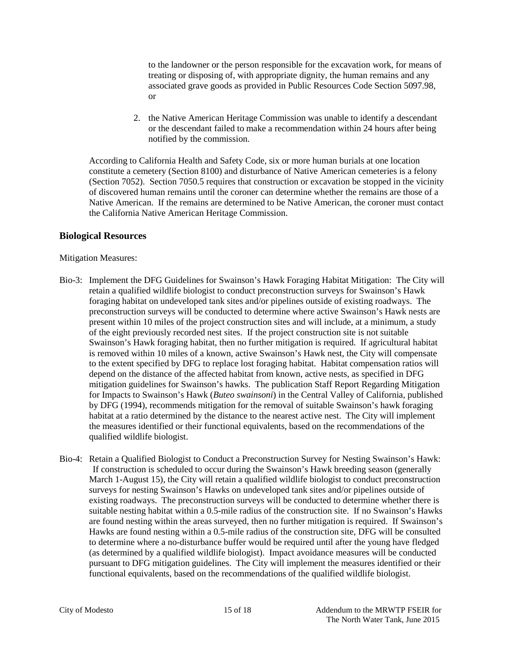to the landowner or the person responsible for the excavation work, for means of treating or disposing of, with appropriate dignity, the human remains and any associated grave goods as provided in Public Resources Code Section 5097.98, or

2. the Native American Heritage Commission was unable to identify a descendant or the descendant failed to make a recommendation within 24 hours after being notified by the commission.

According to California Health and Safety Code, six or more human burials at one location constitute a cemetery (Section 8100) and disturbance of Native American cemeteries is a felony (Section 7052). Section 7050.5 requires that construction or excavation be stopped in the vicinity of discovered human remains until the coroner can determine whether the remains are those of a Native American. If the remains are determined to be Native American, the coroner must contact the California Native American Heritage Commission.

#### **Biological Resources**

#### Mitigation Measures:

- Bio-3: Implement the DFG Guidelines for Swainson's Hawk Foraging Habitat Mitigation:The City will retain a qualified wildlife biologist to conduct preconstruction surveys for Swainson's Hawk foraging habitat on undeveloped tank sites and/or pipelines outside of existing roadways. The preconstruction surveys will be conducted to determine where active Swainson's Hawk nests are present within 10 miles of the project construction sites and will include, at a minimum, a study of the eight previously recorded nest sites. If the project construction site is not suitable Swainson's Hawk foraging habitat, then no further mitigation is required. If agricultural habitat is removed within 10 miles of a known, active Swainson's Hawk nest, the City will compensate to the extent specified by DFG to replace lost foraging habitat. Habitat compensation ratios will depend on the distance of the affected habitat from known, active nests, as specified in DFG mitigation guidelines for Swainson's hawks. The publication Staff Report Regarding Mitigation for Impacts to Swainson's Hawk (*Buteo swainsoni*) in the Central Valley of California, published by DFG (1994), recommends mitigation for the removal of suitable Swainson's hawk foraging habitat at a ratio determined by the distance to the nearest active nest. The City will implement the measures identified or their functional equivalents, based on the recommendations of the qualified wildlife biologist.
- Bio-4: Retain a Qualified Biologist to Conduct a Preconstruction Survey for Nesting Swainson's Hawk: If construction is scheduled to occur during the Swainson's Hawk breeding season (generally March 1-August 15), the City will retain a qualified wildlife biologist to conduct preconstruction surveys for nesting Swainson's Hawks on undeveloped tank sites and/or pipelines outside of existing roadways. The preconstruction surveys will be conducted to determine whether there is suitable nesting habitat within a 0.5-mile radius of the construction site. If no Swainson's Hawks are found nesting within the areas surveyed, then no further mitigation is required. If Swainson's Hawks are found nesting within a 0.5-mile radius of the construction site, DFG will be consulted to determine where a no-disturbance buffer would be required until after the young have fledged (as determined by a qualified wildlife biologist). Impact avoidance measures will be conducted pursuant to DFG mitigation guidelines. The City will implement the measures identified or their functional equivalents, based on the recommendations of the qualified wildlife biologist.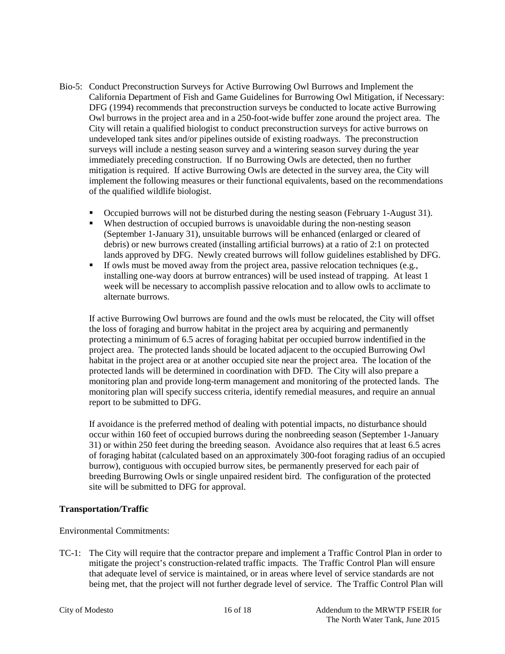- Bio-5: Conduct Preconstruction Surveys for Active Burrowing Owl Burrows and Implement the California Department of Fish and Game Guidelines for Burrowing Owl Mitigation, if Necessary: DFG (1994) recommends that preconstruction surveys be conducted to locate active Burrowing Owl burrows in the project area and in a 250-foot-wide buffer zone around the project area. The City will retain a qualified biologist to conduct preconstruction surveys for active burrows on undeveloped tank sites and/or pipelines outside of existing roadways. The preconstruction surveys will include a nesting season survey and a wintering season survey during the year immediately preceding construction. If no Burrowing Owls are detected, then no further mitigation is required. If active Burrowing Owls are detected in the survey area, the City will implement the following measures or their functional equivalents, based on the recommendations of the qualified wildlife biologist.
	- Occupied burrows will not be disturbed during the nesting season (February 1-August 31).
	- When destruction of occupied burrows is unavoidable during the non-nesting season (September 1-January 31), unsuitable burrows will be enhanced (enlarged or cleared of debris) or new burrows created (installing artificial burrows) at a ratio of 2:1 on protected lands approved by DFG. Newly created burrows will follow guidelines established by DFG.
	- $\blacksquare$  If owls must be moved away from the project area, passive relocation techniques (e.g., installing one-way doors at burrow entrances) will be used instead of trapping. At least 1 week will be necessary to accomplish passive relocation and to allow owls to acclimate to alternate burrows.

If active Burrowing Owl burrows are found and the owls must be relocated, the City will offset the loss of foraging and burrow habitat in the project area by acquiring and permanently protecting a minimum of 6.5 acres of foraging habitat per occupied burrow indentified in the project area. The protected lands should be located adjacent to the occupied Burrowing Owl habitat in the project area or at another occupied site near the project area. The location of the protected lands will be determined in coordination with DFD. The City will also prepare a monitoring plan and provide long-term management and monitoring of the protected lands. The monitoring plan will specify success criteria, identify remedial measures, and require an annual report to be submitted to DFG.

If avoidance is the preferred method of dealing with potential impacts, no disturbance should occur within 160 feet of occupied burrows during the nonbreeding season (September 1-January 31) or within 250 feet during the breeding season. Avoidance also requires that at least 6.5 acres of foraging habitat (calculated based on an approximately 300-foot foraging radius of an occupied burrow), contiguous with occupied burrow sites, be permanently preserved for each pair of breeding Burrowing Owls or single unpaired resident bird. The configuration of the protected site will be submitted to DFG for approval.

#### **Transportation/Traffic**

#### Environmental Commitments:

TC-1: The City will require that the contractor prepare and implement a Traffic Control Plan in order to mitigate the project's construction-related traffic impacts. The Traffic Control Plan will ensure that adequate level of service is maintained, or in areas where level of service standards are not being met, that the project will not further degrade level of service. The Traffic Control Plan will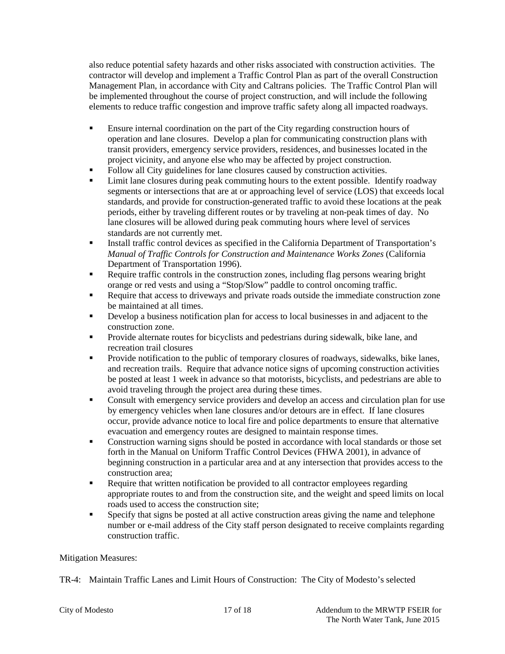also reduce potential safety hazards and other risks associated with construction activities. The contractor will develop and implement a Traffic Control Plan as part of the overall Construction Management Plan, in accordance with City and Caltrans policies. The Traffic Control Plan will be implemented throughout the course of project construction, and will include the following elements to reduce traffic congestion and improve traffic safety along all impacted roadways.

- Ensure internal coordination on the part of the City regarding construction hours of operation and lane closures. Develop a plan for communicating construction plans with transit providers, emergency service providers, residences, and businesses located in the project vicinity, and anyone else who may be affected by project construction.
- Follow all City guidelines for lane closures caused by construction activities.
- **EXECUTE:** Limit lane closures during peak commuting hours to the extent possible. Identify roadway segments or intersections that are at or approaching level of service (LOS) that exceeds local standards, and provide for construction-generated traffic to avoid these locations at the peak periods, either by traveling different routes or by traveling at non-peak times of day. No lane closures will be allowed during peak commuting hours where level of services standards are not currently met.
- Install traffic control devices as specified in the California Department of Transportation's *Manual of Traffic Controls for Construction and Maintenance Works Zones* (California Department of Transportation 1996).
- Require traffic controls in the construction zones, including flag persons wearing bright orange or red vests and using a "Stop/Slow" paddle to control oncoming traffic.
- Require that access to driveways and private roads outside the immediate construction zone be maintained at all times.
- Develop a business notification plan for access to local businesses in and adjacent to the construction zone.
- **Provide alternate routes for bicyclists and pedestrians during sidewalk, bike lane, and** recreation trail closures
- **Provide notification to the public of temporary closures of roadways, sidewalks, bike lanes,** and recreation trails. Require that advance notice signs of upcoming construction activities be posted at least 1 week in advance so that motorists, bicyclists, and pedestrians are able to avoid traveling through the project area during these times.
- **Consult with emergency service providers and develop an access and circulation plan for use** by emergency vehicles when lane closures and/or detours are in effect. If lane closures occur, provide advance notice to local fire and police departments to ensure that alternative evacuation and emergency routes are designed to maintain response times.
- Construction warning signs should be posted in accordance with local standards or those set forth in the Manual on Uniform Traffic Control Devices (FHWA 2001), in advance of beginning construction in a particular area and at any intersection that provides access to the construction area;
- Require that written notification be provided to all contractor employees regarding appropriate routes to and from the construction site, and the weight and speed limits on local roads used to access the construction site;
- Specify that signs be posted at all active construction areas giving the name and telephone number or e-mail address of the City staff person designated to receive complaints regarding construction traffic.

#### Mitigation Measures:

TR-4: Maintain Traffic Lanes and Limit Hours of Construction: The City of Modesto's selected